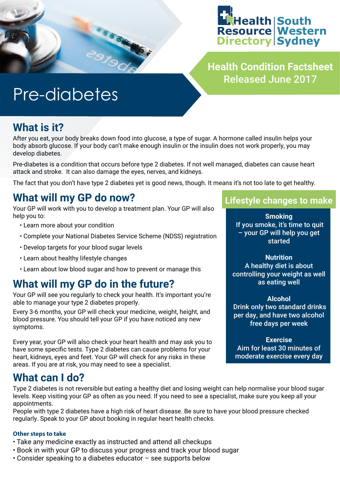



**Health Condition Factsheet** Released June 2017

# Pre-diabetes

### **What is it?**

After you eat, your body breaks down food into glucose, a type of sugar. A hormone called insulin helps your body absorb glucose. If your body can't make enough insulin or the insulin does not work properly, you may develop diabetes.

Pre-diabetes is a condition that occurs before type 2 diabetes. If not well managed, diabetes can cause heart attack and stroke. It can also damage the eyes, nerves, and kidneys.

The fact that you don't have type 2 diabetes yet is good news, though. It means it's not too late to get healthy.

### **What will my GP do now?**

Your GP will work with you to develop a treatment plan. Your GP will also help you to:

- Learn more about your condition
- Complete your National Diabetes Service Scheme (NDSS) registration
- Develop targets for your blood sugar levels
- Learn about healthy lifestyle changes
- Learn about low blood sugar and how to prevent or manage this

### **What will my GP do in the future?**

Your GP will see you regularly to check your health. It's important you're able to manage your type 2 diabetes properly.

Every 3-6 months, your GP will check your medicine, weight, height, and blood pressure. You should tell your GP if you have noticed any new symptoms.

Every year, your GP will also check your heart health and may ask you to have some specific tests. Type 2 diabetes can cause problems for your heart, kidneys, eyes and feet. Your GP will check for any risks in these areas. If you are at risk, you may need to see a specialist.

#### **What can I do?**

Type 2 diabetes is not reversible but eating a healthy diet and losing weight can help normalise your blood sugar levels. Keep visiting your GP as often as you need. If you need to see a specialist, make sure you keep all your appointments.

People with type 2 diabetes have a high risk of heart disease. Be sure to have your blood pressure checked regularly. Speak to your GP about booking in regular heart health checks.

#### **Other steps to take**

- Take any medicine exactly as instructed and attend all checkups
- Book in with your GP to discuss your progress and track your blood sugar
- Consider speaking to a diabetes educator see supports below

#### **Lifestyle changes to make**

**Smoking** If you smoke, it's time to quit – your GP will help you get **started** 

**Nutrition** A healthy diet is about controlling your weight as well as eating well

#### **Alcohol**

 Drink only two standard drinks per day, and have two alcohol free days per week

**Exercise** Aim for least 30 minutes of moderate exercise every day